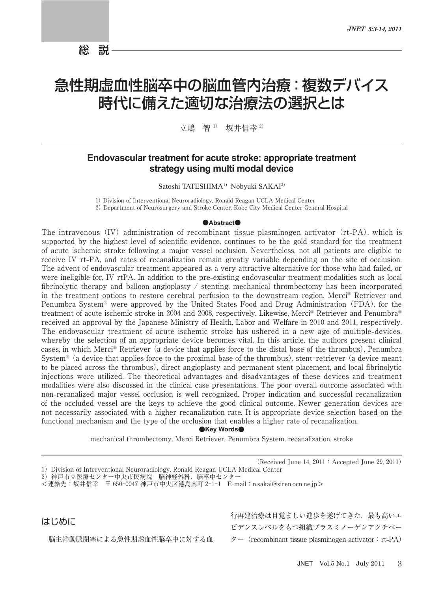総 説

# 急性期虚血性脳卒中の脳血管内治療:複数デバイス 時代に備えた適切な治療法の選択とは

立嶋 智<sup>1)</sup> 坂井信幸<sup>2)</sup>

### **Endovascular treatment for acute stroke: appropriate treatment** strategy using multi modal device

Satoshi TATESHIMA<sup>1)</sup> Nobyuki SAKAI<sup>2)</sup>

1) Division of Interventional Neuroradiology, Ronald Reagan UCLA Medical Center

2) Department of Neurosurgery and Stroke Center, Kobe City Medical Center General Hospital

#### $\bullet$ **Abstract** $\bullet$

The intravenous (IV) administration of recombinant tissue plasminogen activator (rt-PA), which is supported by the highest level of scientific evidence, continues to be the gold standard for the treatment of acute ischemic stroke following a major vessel occlusion. Nevertheless, not all patients are eligible to receive IV rt**-**PA, and rates of recanalization remain greatly variable depending on the site of occlusion. The advent of endovascular treatment appeared as a very attractive alternative for those who had failed, or were ineligible for, IV rtPA. In addition to the pre**-**existing endovascular treatment modalities such as local fibrinolytic therapy and balloon angioplasty / stenting, mechanical thrombectomy has been incorporated in the treatment options to restore cerebral perfusion to the downstream region. Merci® Retriever and Penumbra System® were approved by the United States Food and Drug Administration(FDA), for the treatment of acute ischemic stroke in 2004 and 2008, respectively. Likewise, Merci® Retriever and Penumbra® received an approval by the Japanese Ministry of Health, Labor and Welfare in 2010 and 2011, respectively. The endovascular treatment of acute ischemic stroke has ushered in a new age of multiple**-**devices, whereby the selection of an appropriate device becomes vital. In this article, the authors present clinical cases, in which Merci® Retriever (a device that applies force to the distal base of the thrombus), Penumbra System<sup>®</sup> (a device that applies force to the proximal base of the thrombus), stent-retriever (a device meant to be placed across the thrombus, direct angioplasty and permanent stent placement, and local fibrinolytic injections were utilized. The theoretical advantages and disadvantages of these devices and treatment modalities were also discussed in the clinical case presentations. The poor overall outcome associated with non**-**recanalized major vessel occlusion is well recognized. Proper indication and successful recanalization of the occluded vessel are the keys to achieve the good clinical outcome. Newer generation devices are not necessarily associated with a higher recanalization rate. It is appropriate device selection based on the functional mechanism and the type of the occlusion that enables a higher rate of recanalization.

#### ●**Key Words●**

mechanical thrombectomy, Merci Retriever, Penumbra System, recanalization, stroke

はじめに

脳主幹動脈閉塞による急性期虚血性脳卒中に対する血

行再建治療は目覚ましい進歩を遂げてきた. 最も高いエ ビデンスレベルをもつ組織プラスミノーゲンアクチベー ター(recombinant tissue plasminogen activator:rt**-**PA)

<sup>(</sup>Received June 14,  $2011$ : Accepted June 29, 2011)

<sup>1)</sup> Division of Interventional Neuroradiology, Ronald Reagan UCLA Medical Center

<sup>)</sup>神戸市立医療センター中央市民病院 脳神経外科、脳卒中センター

<sup>&</sup>lt;連絡先:坂井信幸 〒 神戸市中央区港島南町 E**-**mail:n.sakai@siren.ocn.ne.jp>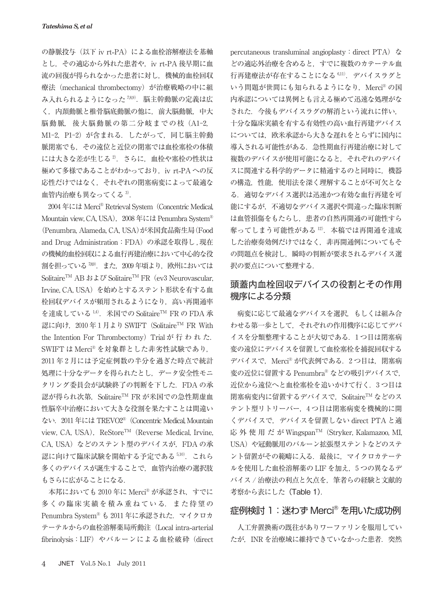の静脈投与(以下 iv rt**-**PA)による血栓溶解療法を基軸 とし,その適応から外れた患者や,iv rt**-**PA 後早期に血 流の回復が得られなかった患者に対し,機械的血栓回収 療法 (mechanical thrombectomy) が治療戦略の中に組 み入れられるようになった 789). 脳主幹動脈の定義は広 く,内頚動脈と椎骨脳底動脈の他に,前大脳動脈,中大 脳動脈, 後大脳動脈の第二分岐までの枝 (A1-2. M1-2. P1-2) が含まれる. したがって. 同じ脳主幹動 脈閉塞でも,その遠位と近位の閉塞では血栓塞栓の体積 には大きな差が生じる2. さらに、血栓や塞栓の性状は 極めて多様であることがわかっており,iv rt**-**PA への反 応性だけではなく,それぞれの閉塞病変によって最適な 血管内治療も異なってくる $3$ .

 年には Merci ® Retrieval System(Concentric Medical, Mountain view, CA, USA), 2008年には Penumbra System® (Penumbra, Alameda, CA, USA)が米国食品衛生局(Food and Drug Administration: FDA)の承認を取得し、現在 の機械的血栓回収による血行再建治療において中心的な役 割を担っている<sup>789</sup>. また. 2009年頃より, 欧州においては Solitaire<sup>TM</sup> AB および Solitaire<sup>TM</sup> FR (ev3 Neurovascular, Irvine, CA, USA)を始めとするステント形状を有する血 栓回収デバイスが頻用されるようになり,高い再開通率 を達成している<sup>1,4)</sup>. 米国での Solitaire<sup>TM</sup> FR の FDA 承 認に向け. 2010年1月より SWIFT (Solitaire<sup>TM</sup> FR With the Intention For Thrombectomy) Trial が 行 わ れ た. SWIFT は Merci ® を対象群とした非劣性試験であり, 2011年2月には予定症例数の半分を過ぎた時点で統計 処理に十分なデータを得られたとし,データ安全性モニ タリング委員会が試験終了の判断を下した.FDA の承 認が得られ次第, Solitaire™ FR が米国での急性期虚血 性脳卒中治療において大きな役割を果たすことは間違い ない. 2011年には TREVO2<sup>®</sup> (Concentric Medical, Mountain view, CA, USA), ReStore<sup>TM</sup> (Reverse Medical, Irvine, CA, USA) などのステント型のデバイスが, FDA の承 認に向けて臨床試験を開始する予定である 5,10). これら 多くのデバイスが誕生することで,血管内治療の選択肢 もさらに広がることになる.

本邦においても 2010 年に Merci® が承認され,すでに 多くの臨床実績を積み重ねている.また待望の Penumbra System® も 2011年に承認された. マイクロカ テーテルからの血栓溶解薬局所動注(Local intra**-**arterial fibrinolysis:LIF)やバルーンによる血栓破砕(direct percutaneous transluminal angioplasty: direct PTA) な どの適応外治療を含めると,すでに複数のカテーテル血 行再建療法が存在することになる 6.11). デバイスラグと いう問題が世間にも知られるようになり, Merci®の国 内承認については異例とも言える極めて迅速な処理がな された.今後もデバイスラグの解消という流れに伴い, 十分な臨床実績を有する有効性の高い血行再建デバイス については,欧米承認から大きな遅れをとらずに国内に 導入される可能性がある. 急性期血行再建治療に対して 複数のデバイスが使用可能になると,それぞれのデバイ スに関連する科学的データに精通するのと同時に,機器 の構造,性能,使用法を深く理解することが不可欠とな る.適切なデバイス選択は迅速かつ有効な血行再建を可 能にするが,不適切なデバイス選択や間違った臨床判断 は血管損傷をもたらし,患者の自然再開通の可能性すら 奪ってしまう可能性がある $12$ . 本稿では再開通を達成 した治療奏効例だけではなく,非再開通例についてもそ の問題点を検討し、瞬時の判断が要求されるデバイス選 択の要点について整理する.

### 頭蓋内血栓回収デバイスの役割とその作用 機序による分類

病変に応じて最適なデバイスを選択,もしくは組み合 わせる第一歩として,それぞれの作用機序に応じてデバ イスを分類整理することが大切である. 1つ目は閉塞病 変の遠位にデバイスを留置して血栓塞栓を捕捉回収する デバイスで, Merci® が代表例である. 2つ目は, 閉塞病 変の近位に留置する Penumbra® などの吸引デバイスで, 近位から遠位へと血栓塞栓を追いかけて行く. 3つ目は 閉塞病変内に留置するデバイスで. Solitaire™ などのス テント型リトリーバー, つ目は閉塞病変を機械的に開 くデバイスで,デバイスを留置しない direct PTA と適 応外使用だがWingspan<sup>TM</sup> (Stryker, Kalamazoo, MI, USA)や冠動脈用のバルーン拡張型ステントなどのステ ント留置がその範疇に入る.最後に,マイクロカテーテ ルを使用した血栓溶解薬の LIF を加え, つの異なるデ バイス / 治療法の利点と欠点を、筆者らの経験と文献的 考察から表にした (Table 1).

### 症例検討 1:迷わず Merci® を用いた成功例

人工弁置換術の既往がありワーファリンを服用してい たが, INR を治療域に維持できていなかった患者. 突然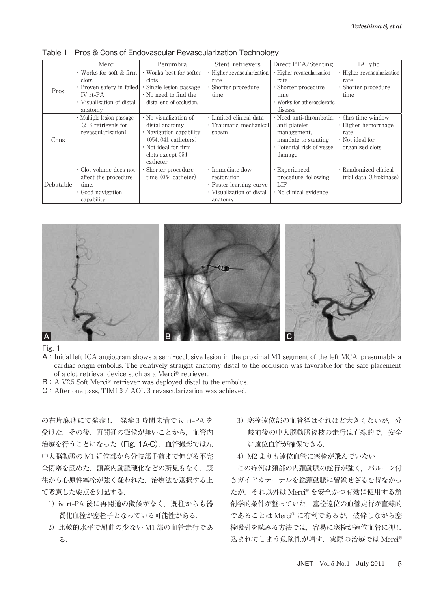|           | Merci                         | Penumbra                    | Stent-retrievers           | Direct PTA/Stenting          | IA lytic                   |
|-----------|-------------------------------|-----------------------------|----------------------------|------------------------------|----------------------------|
|           | $\cdot$ Works for soft & firm | · Works best for softer     | · Higher revascularization | · Higher revascularization   | · Higher revascularization |
| Pros      | clots                         | clots                       | rate                       | rate                         | rate                       |
|           | · Proven safety in failed     | Single lesion passage       | • Shorter procedure        | $\cdot$ Shorter procedure    | · Shorter procedure        |
|           | IV rt-PA                      | $\cdot$ No need to find the | time                       | time                         | time                       |
|           | • Visualization of distal     | distal end of occlusion.    |                            | • Works for atherosclerotic  |                            |
|           | anatomy                       |                             |                            | disease                      |                            |
| Cons      | · Multiple lesion passage     | $\cdot$ No visualization of | · Limited clinical data    | · Need anti-thrombotic.      | $\cdot$ 6hrs time window   |
|           | $(2-3$ retrievals for         | distal anatomy              | · Traumatic, mechanical    | anti-platelet                | $\cdot$ Higher hemorrhage  |
|           | revascularization)            | · Navigation capability     | spasm                      | management,                  | rate                       |
|           |                               | $(054, 041$ catheters)      |                            | mandate to stenting          | $\cdot$ Not ideal for      |
|           |                               | · Not ideal for firm        |                            | · Potential risk of vessel   | organized clots            |
|           |                               | clots except 054            |                            | damage                       |                            |
|           |                               | catheter                    |                            |                              |                            |
| Debatable | $\cdot$ Clot volume does not  | · Shorter procedure         | · Immediate flow           | · Experienced                | · Randomized clinical      |
|           | affect the procedure          | time (054 catheter)         | restoration                | procedure, following         | trial data (Urokinase)     |
|           | time.                         |                             | · Faster learning curve    | LIF                          |                            |
|           | Good navigation               |                             | · Visualization of distal  | $\cdot$ No clinical evidence |                            |
|           | capability.                   |                             | anatomy                    |                              |                            |

Table 1 Pros & Cons of Endovascular Revascularization Technology



- A: Initial left ICA angiogram shows a semi-occlusive lesion in the proximal M1 segment of the left MCA, presumably a cardiac origin embolus. The relatively straight anatomy distal to the occlusion was favorable for the safe placement of a clot retrieval device such as a Merci ® retriever.
- B: A V2.5 Soft Merci® retriever was deployed distal to the embolus.
- $C:$  After one pass, TIMI 3 / AOL 3 revascularization was achieved.

の右片麻痺にて発症し,発症 時間未満で iv rt**-**PA を 受けた.その後,再開通の徴候が無いことから,血管内 治療を行うことになった(Fig. 1A-C).血管撮影では左 中大脳動脈の M1 近位部から分岐部手前まで伸びる不完 全閉塞を認めた.頭蓋内動脈硬化などの所見もなく,既 往から心原性塞栓が強く疑われた.治療法を選択する上 で考慮した要点を列記する.

- )iv rt**-**PA 後に再開通の徴候がなく,既往からも器 質化血栓が塞栓子となっている可能性がある.
- 2) 比較的水平で屈曲の少ない M1 部の血管走行であ る.
- 3) 塞栓遠位部の血管径はそれほど大きくないが、分 岐前後の中大脳動脈後枝の走行は直線的で,安全 に遠位血管が確保できる.
- 4) M2 よりも遠位血管に塞栓が飛んでいない

この症例は頚部の内頚動脈の蛇行が強く、バルーン付 きガイドカテーテルを総頚動脈に留置せざるを得なかっ たが,それ以外は Merci ® を安全かつ有効に使用する解 剖学的条件が整っていた.塞栓遠位の血管走行が直線的 であることは Merci ® に有利であるが,破砕しながら塞 栓吸引を試みる方法では,容易に塞栓が遠位血管に押し 込まれてしまう危険性が増す. 実際の治療では Merci<sup>®</sup>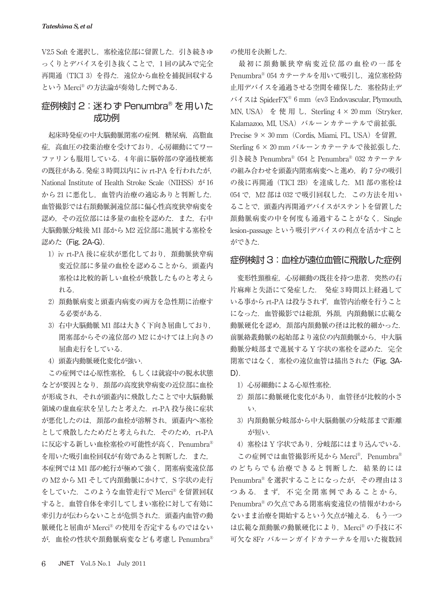V2.5 Soft を選択し、塞栓遠位部に留置した. 引き続きゆ っくりとデバイスを引き抜くことで、1回の試みで完全 再開通(TICI 3) を得た. 遠位から血栓を捕捉回収する という Merci ® の方法論が奏効した例である.

# 症例検討 2: 迷わず Penumbra® を用いた 成功例

起床時発症の中大脳動脈閉塞の症例.糖尿病、高脂血 症,高血圧の投薬治療を受けており,心房細動にてワー ファリンも服用している. 4年前に脳幹部の穿通枝梗塞 の既往がある.発症 時間以内に iv rt**-**PA を行われたが, National Institute of Health Stroke Scale (NIHSS)  $\dot{\gamma}$  16 から21に悪化し、血管内治療の適応ありと判断した. 血管撮影では右頚動脈洞遠位部に偏心性高度狭窄病変を 認め,その近位部には多量の血栓を認めた.また,右中 大脳動脈分岐後 M1部から M2 近位部に進展する塞栓を 認めた (Fig. 2A-G).

- )iv rt**-**PA 後に症状が悪化しており,頚動脈狭窄病 変近位部に多量の血栓を認めることから,頭蓋内 塞栓は比較的新しい血栓が飛散したものと考えら れる.
- 2) 頚動脈病変と頭蓋内病変の両方を急性期に治療す る必要がある.
- 3) 右中大脳動脈 M1 部は大きく下向き屈曲しており. 閉塞部からその遠位部の M2 にかけては上向きの 屈曲走行をしている.
- )頭蓋内動脈硬化変化が強い.

この症例では心原性塞栓,もしくは就寝中の脱水状態 などが要因となり、頚部の高度狭窄病変の近位部に血栓 が形成され,それが頭蓋内に飛散したことで中大脳動脈 領域の虚血症状を呈したと考えた.rt**-**PA 投与後に症状 が悪化したのは,頚部の血栓が溶解され,頭蓋内へ塞栓 として飛散したためだと考えられた.そのため,rt**-**PA に反応する新しい血栓塞栓の可能性が高く、Penumbra® を用いた吸引血栓回収が有効であると判断した. また, 本症例では M1部の蛇行が極めて強く、閉塞病変遠位部 の M2 から M1 そして内頚動脈にかけて、S 字状の走行 をしていた. このような血管走行で Merci® を留置回収 すると,血管自体を牽引してしまい塞栓に対して有効に 牽引力が伝わらないことが危惧された.頭蓋内血管の動 脈硬化と屈曲が Merci ® の使用を否定するものではない が,血栓の性状や頚動脈病変なども考慮し Penumbra®

の使用を決断した.

最初に頚動脈狭窄病変近位部の血栓の一部を Penumbra® 054 カテーテルを用いて吸引し、遠位塞栓防 止用デバイスを通過させる空間を確保した. 塞栓防止デ バイスは SpiderFX<sup>®</sup> 6 mm (ev3 Endovascular, Plymouth, MN, USA) を使用し, Sterling  $4 \times 20$  mm (Stryker, Kalamazoo, ML USA) バルーンカテーテルで前拡張。 Precise 9 × 30 mm (Cordis, Miami, FL, USA) を留置, Sterling  $6 \times 20$  mm バルーンカテーテルで後拡張した. 引き続き Penumbra® 054 と Penumbra® 032 カテーテル の組み合わせを頭蓋内閉塞病変へと進め、約7分の吸引 の後に再開通 (TICI 2B) を達成した. M1部の塞栓は 054 で. M2 部は 032 で吸引回収した. この方法を用い ることで,頭蓋内再開通デバイスがステントを留置した 頚動脈病変の中を何度も通過することがなく,Single lesion**-**passage という吸引デバイスの利点を活かすこと ができた.

### 症例検討 3:血栓が遠位血管に飛散した症例

変形性頸椎症,心房細動の既往を持つ患者.突然の右 片麻痺と失語にて発症した. 発症3時間以上経過して いる事から rt**-**PA は投与されず,血管内治療を行うこと になった.血管撮影では総頚,外頚,内頚動脈に広範な 動脈硬化を認め、頚部内頚動脈の径は比較的細かった. 前脈絡叢動脈の起始部より遠位の内頚動脈から,中大脳 動脈分岐部まで進展する Y 字状の寒栓を認めた. 完全 閉塞ではなく、塞栓の遠位血管は描出された (Fig. 3A-D).

- 1) 心房細動による心原性塞栓.
- 2) 頚部に動脈硬化変化があり、血管径が比較的小さ い.
- )内頚動脈分岐部から中大脳動脈の分岐部まで距離 が短い.
- 4) 塞栓は Y 字状であり、分岐部にはまり込んでいる.

この症例では血管撮影所見から Merci®, Penumbra® のどちらでも治療できると判断した. 結果的には Penumbra® を選択することになったが,その理由は つある. まず、不完全閉塞例であることから, Penumbra® の欠点である閉塞病変遠位の情報がわから ないまま治療を開始するという欠点が補える.もう一つ は広範な頚動脈の動脈硬化により, Merci® の手技に不 可欠な 8Fr バルーンガイドカテーテルを用いた複数回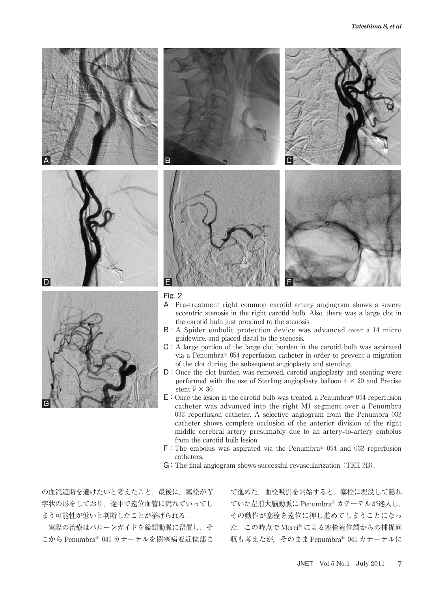



- A:Pre**-**treatment right common carotid artery angiogram shows a severe eccentric stenosis in the right carotid bulb. Also, there was a large clot in the carotid bulb just proximal to the stenosis.
- $B: A$  Spider embolic protection device was advanced over a 14 micro guidewire, and placed distal to the stenosis.
- C:A large portion of the large clot burden in the carotid bulb was aspirated via a Penumbra<sup>®</sup>  $054$  reperfusion catheter in order to prevent a migration of the clot during the subsequent angioplasty and stenting.
- D: Once the clot burden was removed, carotid angioplasty and stenting were performed with the use of Sterling angioplasty balloon  $4 \times 20$  and Precise stent  $9 \times 30$ .
- $E:$  Once the lesion in the carotid bulb was treated, a Penumbra® 054 reperfusion catheter was advanced into the right M1 segment over a Penumbra 032 reperfusion catheter. A selective angiogram from the Penumbra  $032$ catheter shows complete occlusion of the anterior division of the right middle cerebral artery presumably due to an artery**-**to**-**artery embolus from the carotid bulb lesion.
- $F:$  The embolus was aspirated via the Penumbra® 054 and 032 reperfusion catheters.
- G: The final angiogram shows successful revascularization (TICI 2B).

の血流遮断を避けたいと考えたこと. 最後に、塞栓が Y 字状の形をしており,途中で遠位血管に流れていってし まう可能性が低いと判断したことが挙げられる.

実際の治療はバルーンガイドを総頚動脈に留置し,そ こから Penumbra® 041 カテーテルを閉塞病変近位部ま

で進めた.血栓吸引を開始すると,塞栓に埋没して隠れ ていた左前大脳動脈に Penumbra® カテーテルが迷入し, その動作が塞栓を遠位に押し進めてしまうことになっ た.この時点で Merci ® による塞栓遠位端からの捕捉回 収も考えたが、そのまま Penumbra® 041 カテーテルに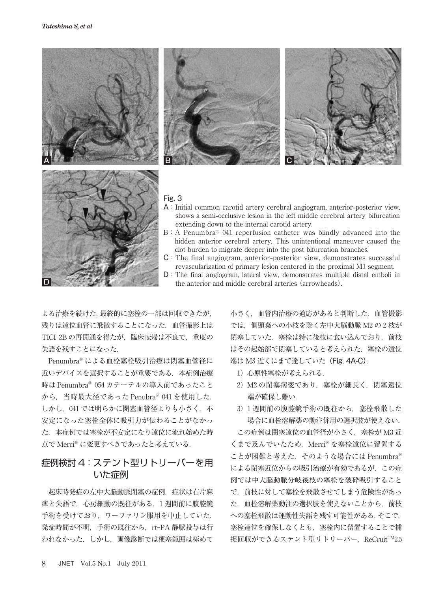





- A:Initial common carotid artery cerebral angiogram, anterior**-**posterior view, shows a semi**-**occlusive lesion in the left middle cerebral artery bifurcation extending down to the internal carotid artery.
- $B: A$  Penumbra<sup>®</sup> 041 reperfusion catheter was blindly advanced into the hidden anterior cerebral artery. This unintentional maneuver caused the clot burden to migrate deeper into the post bifurcation branches.
- C:The final angiogram, anterior**-**posterior view, demonstrates successful revascularization of primary lesion centered in the proximal M1 segment.
- D: The final angiogram, lateral view, demonstrates multiple distal emboli in the anterior and middle cerebral arteries (arrowheads).

よる治療を続けた.最終的に塞栓の一部は回収できたが, 残りは遠位血管に飛散することになった.血管撮影上は TICI 2B の再開通を得たが、臨床転帰は不良で、重度の 失語を残すことになった.

Penumbra® による血栓塞栓吸引治療は閉塞血管径に 近いデバイスを選択することが重要である.本症例治療 時は Penumbra® カテーテルの導入前であったこと から、当時最大径であった Penubra® 041 を使用した. しかし、041では明らかに閉塞血管径よりも小さく、不 安定になった塞栓全体に吸引力が伝わることがなかっ た.本症例では塞栓が不安定になり遠位に流れ始めた時 点で Merci ® に変更すべきであったと考えている.

## 症例検討 4: ステント型リトリーバーを用 いた症例

起床時発症の左中大脳動脈閉塞の症例. 症状は右片麻 痺と失語で,心房細動の既往がある. 週間前に腹腔鏡 手術を受けており、ワーファリン服用を中止していた. 発症時間が不明,手術の既往から,rt-PA 静脈投与は行 われなかった.しかし,画像診断では梗塞範囲は極めて

小さく,血管内治療の適応があると判断した.血管撮影 では、側頭葉への小枝を除く左中大脳動脈 M2の2枝が 閉塞していた. 塞栓は特に後枝に食い込んでおり. 前枝 はその起始部で閉塞していると考えられた. 塞栓の遠位 端は M3 近くにまで達していた (Fig. 4A-C).

- 1) 心原性塞栓が考えられる.
- 2) M2 の閉塞病変であり、塞栓が細長く, 閉塞遠位 端が確保し難い.
- 3) 1 週間前の腹腔鏡手術の既往から、塞栓飛散した 場合に血栓溶解薬の動注併用の選択肢が使えない.

この症例は閉塞遠位の血管径が小さく、塞栓が M3 近 くまで及んでいたため、Merci® を塞栓遠位に留置する ことが困難と考えた.そのような場合には Penumbra® による閉塞近位からの吸引治療が有効であるが,この症 例では中大脳動脈分岐後枝の塞栓を破砕吸引すること で,前枝に対して塞栓を飛散させてしまう危険性があっ た.血栓溶解薬動注の選択肢を使えないことから,前枝 への塞栓飛散は運動性失語を残す可能性がある.そこで, 塞栓遠位を確保しなくとも,塞栓内に留置することで捕 捉回収ができるステント型リトリーバー, ReCruit™2.5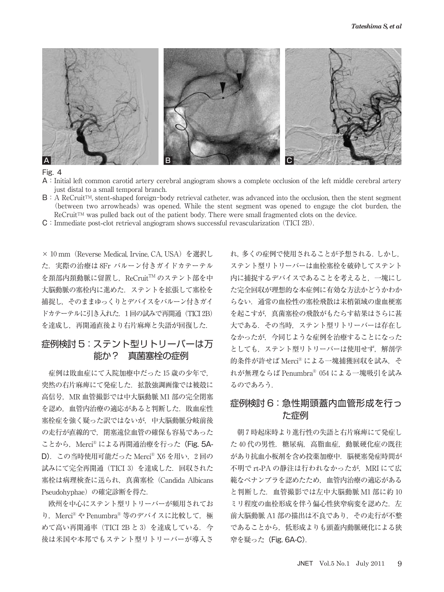

- A:Initial left common carotid artery cerebral angiogram shows a complete occlusion of the left middle cerebral artery just distal to a small temporal branch.
- B: A ReCruit<sup>TM</sup>, stent-shaped foreign-body retrieval catheter, was advanced into the occlusion, then the stent segment (between two arrowheads) was opened. While the stent segment was opened to engage the clot burden, the  $ReCruit^m$  was pulled back out of the patient body. There were small fragmented clots on the device.
- **C**: Immediate post-clot retrieval angiogram shows successful revascularization (TICI 2B).

× 10 mm (Reverse Medical, Irvine, CA, USA) を選択し た. 実際の治療は 8Fr バルーン付きガイドカテーテル を頚部内頚動脈に留置し,ReCruit™ のステント部を中 大脳動脈の塞栓内に進めた.ステントを拡張して塞栓を 捕捉し,そのままゆっくりとデバイスをバルーン付きガイ ドカテーテルに引き入れた. 1回の試みで再開通 (TICI 2B) を達成し,再開通直後より右片麻痺と失語が回復した.

### 症例検討 5: ステント型リトリーバーは万 能か? 真菌塞栓の症例

症例は敗血症にて入院加療中だった15歳の少年で, 突然の右片麻痺にて発症した. 拡散強調画像では被殻に 高信号. MR 血管撮影では中大脳動脈 M1 部の完全閉塞 を認め、血管内治療の適応があると判断した. 敗血症性 塞栓症を強く疑った訳ではないが,中大脳動脈分岐前後 の走行が直線的で,閉塞遠位血管の確保も容易であった ことから, Merci® による再開通治療を行った (Fig. 5A-D).この当時使用可能だった Merci ® X を用い, 回の 試みにて完全再開通 (TICI 3) を達成した. 回収された 塞栓は病理検査に送られ,真菌塞栓(Candida Albicans Pseudohyphae)の確定診断を得た.

欧州を中心にステント型リトリーバーが頻用されてお り, Merci® や Penumbra® 等のデバイスに比較して, 極 めて高い再開通率 (TICI 2B と 3) を達成している. 今 後は米国や本邦でもステント型リトリーバーが導入さ れ,多くの症例で使用されることが予想される.しかし, ステント型リトリーバーは血栓塞栓を破砕してステント 内に捕捉するデバイスであることを考えると,一塊にし た完全回収が理想的な本症例に有効な方法かどうかわか らない.通常の血栓性の塞栓飛散は末梢領域の虚血梗塞 を起こすが,真菌塞栓の飛散がもたらす結果はさらに甚 大である.その当時,ステント型リトリーバーは存在し なかったが,今同じような症例を治療することになった としても,ステント型リトリーバーは使用せず,解剖学 的条件が許せば Merci® による一塊捕獲回収を試み, そ れが無理ならば Penumbra® 054 による一塊吸引を試み るのであろう.

### 症例検討 6: 急性期頭蓋内血管形成を行っ た症例

朝7時起床時より進行性の失語と右片麻痺にて発症し た40代の男性. 糖尿病, 高脂血症, 動脈硬化症の既往 があり抗血小板剤を含め投薬加療中.脳梗塞発症時間が 不明で rt**-**PA の静注は行われなかったが,MRI にて広 範なペナンブラを認めたため,血管内治療の適応がある と判断した. 血管撮影では左中大脳動脈 M1部に約10 ミリ程度の血栓形成を伴う偏心性狭窄病変を認めた. 左 前大脳動脈 A1部の描出は不良であり、その走行が不整 であることから,低形成よりも頭蓋内動脈硬化による狭 **窄を疑った (Fig. 6A-C).**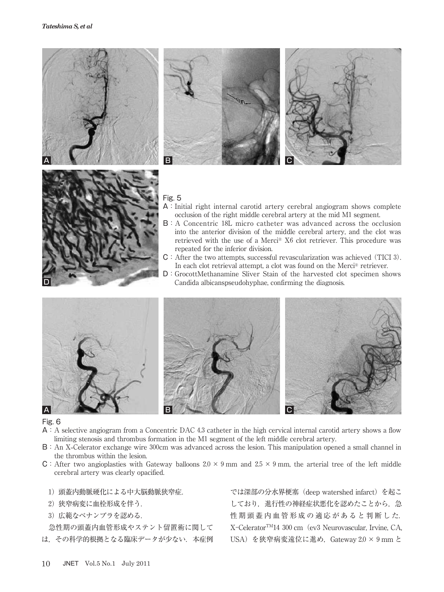



- $A: A$  selective angiogram from a Concentric DAC 4.3 catheter in the high cervical internal carotid artery shows a flow limiting stenosis and thrombus formation in the M1 segment of the left middle cerebral artery.
- B: An X-Celerator exchange wire 300cm was advanced across the lesion. This manipulation opened a small channel in the thrombus within the lesion.
- C: After two angioplasties with Gateway balloons  $2.0 \times 9$  mm and  $2.5 \times 9$  mm, the arterial tree of the left middle cerebral artery was clearly opacified.
	- )頭蓋内動脈硬化による中大脳動脈狭窄症.
	- )狭窄病変に血栓形成を伴う.
	- 3) 広範なペナンブラを認める.

急性期の頭蓋内血管形成やステント留置術に関して

は、その科学的根拠となる臨床データが少ない. 本症例

では深部の分水界梗塞(deep watershed infarct)を起こ しており、進行性の神経症状悪化を認めたことから、急 性期頭蓋内血管形成の適応があると判断した. X-Celerator<sup>TM</sup>14 300 cm (ev3 Neurovascular, Irvine, CA, USA) を狭窄病変遠位に進め, Gateway 2.0 × 9 mm と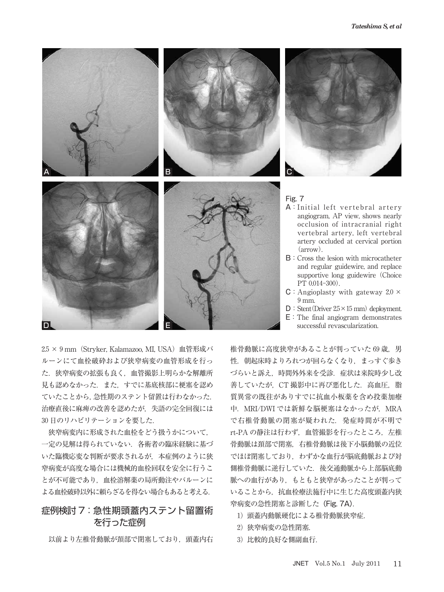



- A:Initial left vertebral artery angiogram, AP view, shows nearly occlusion of intracranial right vertebral artery, left vertebral artery occluded at cervical portion  $\left(\right)$
- B:Cross the lesion with microcatheter and regular guidewire, and replace supportive long guidewire Choice  $PT$  0.014-300).
- $C:$  Angioplasty with gateway 2.0  $\times$  $9$  mm.
- $D:$  Stent (Driver  $2.5 \times 15$  mm) deployment.
- E:The final angiogram demonstrates successful revascularization.

2.5 × 9 mm (Stryker, Kalamazoo, MI, USA) 血管形成バ ルーンにて血栓破砕および狭窄病変の血管形成を行っ た.狭窄病変の拡張も良く,血管撮影上明らかな解離所 見も認めなかった.また,すでに基底核部に梗塞を認め ていたことから,急性期のステント留置は行わなかった. 治療直後に麻痺の改善を認めたが,失語の完全回復には 日のリハビリテーションを要した.

狭窄病変内に形成された血栓をどう扱うかについて, 一定の見解は得られていない.各術者の臨床経験に基づ いた臨機応変な判断が要求されるが,本症例のように狭 窄病変が高度な場合には機械的血栓回収を安全に行うこ とが不可能であり,血栓溶解薬の局所動注やバルーンに よる血栓破砕以外に頼らざるを得ない場合もあると考える.

# 症例検討 7: 急性期頭蓋内ステント留置術 を行った症例

以前より左椎骨動脈が頚部で閉塞しており,頭蓋内右

椎骨動脈に高度狭窄があることが判っていた69歳。男 性. 朝起床時よりろれつが回らなくなり、まっすぐ歩き づらいと訴え、時間外外来を受診. 症状は来院時少し改 善していたが、CT 撮影中に再び悪化した. 高血圧, 脂 質異常の既往がありすでに抗血小板薬を含め投薬加療 中. MRI/DWI では新鮮な脳梗塞はなかったが. MRA で右椎骨動脈の閉塞が疑われた.発症時間が不明で rt**-**PA の静注は行わず,血管撮影を行ったところ,左椎 骨動脈は頚部で閉塞,右椎骨動脈は後下小脳動脈の近位 でほぼ閉塞しており、わずかな血行が脳底動脈および対 側椎骨動脈に逆行していた.後交通動脈から上部脳底動 脈への血行があり,もともと狭窄があったことが判って いることから,抗血栓療法施行中に生じた高度頭蓋内狭 窄病変の急性閉塞と診断した(Fig. 7A).

- )頭蓋内動脈硬化による椎骨動脈狭窄症.
- 2) 狭窄病変の急性閉塞.
- )比較的良好な側副血行.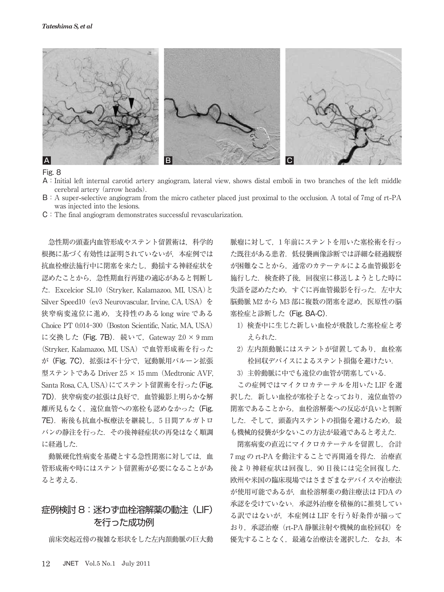

- A:Initial left internal carotid artery angiogram, lateral view, shows distal emboli in two branches of the left middle cerebral artery (arrow heads).
- B:A super**-**selective angiogram from the micro catheter placed just proximal to the occlusion. A total of mg of rt**-**PA was injected into the lesions.
- C:The final angiogram demonstrates successful revascularization.

急性期の頭蓋内血管形成やステント留置術は,科学的 根拠に基づく有効性は証明されていないが,本症例では 抗血栓療法施行中に閉塞を来たし,動揺する神経症状を 認めたことから,急性期血行再建の適応があると判断し た. Excelcior SL10 (Stryker, Kalamazoo, MI, USA)と Silver Speed10 (ev3 Neurovascular, Irvine, CA, USA) を 狭窄病変遠位に進め,支持性のある long wire である Choice PT 0.014-300 (Boston Scientific, Natic, MA, USA) に交換した (Fig. 7B). 続いて, Gateway 2.0 × 9 mm (Stryker, Kalamazoo, MI, USA)で血管形成術を行った が(Fig. 7C),拡張は不十分で,冠動脈用バルーン拡張 型ステントである Driver 2.5 × 15 mm (Medtronic AVF, Santa Rosa, CA, USA)にてステント留置術を行った(Fig. 7D).狭窄病変の拡張は良好で,血管撮影上明らかな解 離所見もなく、遠位血管への塞栓も認めなかった(Fig. 7E).術後も抗血小板療法を継続し, 日間アルガトロ バンの静注を行った.その後神経症状の再発はなく順調 に経過した.

動脈硬化性病変を基礎とする急性閉塞に対しては,血 管形成術や時にはステント留置術が必要になることがあ ると考える.

# 症例検討 8: 迷わず血栓溶解薬の動注(LIF) を行った成功例

前床突起近傍の複雑な形状をした左内頚動脈の巨大動

脈瘤に対して、1年前にステントを用いた塞栓術を行っ た既往がある患者. 低侵襲画像診断では詳細な経過観察 が困難なことから,通常のカテーテルによる血管撮影を 施行した.検査終了後,回復室に移送しようとした時に 失語を認めたため、すぐに再血管撮影を行った. 左中大 脳動脈 M2 から M3 部に複数の閉塞を認め、医原性の脳 塞栓症と診断した(Fig. 8A-C).

- )検査中に生じた新しい血栓が飛散した塞栓症と考 えられた.
- 2) 左内頚動脈にはステントが留置してあり、血栓塞 栓回収デバイスによるステント損傷を避けたい.
- )主幹動脈に中でも遠位の血管が閉塞している.

この症例ではマイクロカテーテルを用いた LIF を選 択した. 新しい血栓が塞栓子となっており、遠位血管の 閉塞であることから,血栓溶解薬への反応が良いと判断 した. そして、頭蓋内ステントの損傷を避けるため、最 も機械的侵襲が少ないこの方法が最適であると考えた.

閉塞病変の直近にマイクロカテーテルを留置し,合計 mg の rt**-**PA を動注することで再開通を得た.治療直 後より神経症状は回復し、90日後には完全回復した. 欧州や米国の臨床現場ではさまざまなデバイスや治療法 が使用可能であるが,血栓溶解薬の動注療法は FDA の 承認を受けていない. 承認外治療を積極的に推奨してい る訳ではないが,本症例は LIF を行う好条件が揃って おり,承認治療(rt**-**PA 静脈注射や機械的血栓回収)を 優先することなく、最適な治療法を選択した. なお,本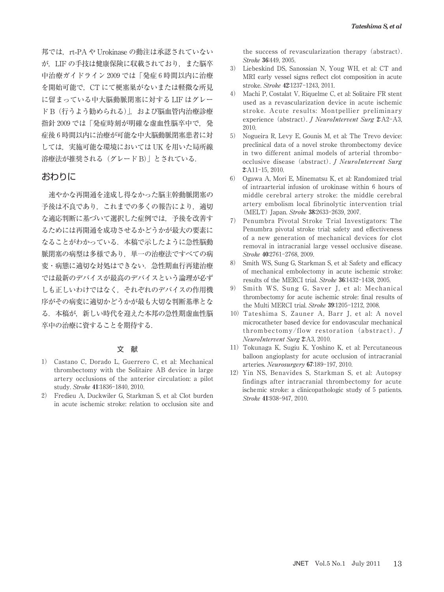邦では、rt-PA や Urokinase の動注は承認されていない が,LIF の手技は健康保険に収載されており,また脳卒 中治療ガイドライン 2009 では「発症6時間以内に治療 を開始可能で,CT にて梗塞巣がないまたは軽微な所見 に留まっている中大脳動脈閉塞に対する LIF はグレー ド B (行うよう勧められる)」,および脳血管内治療診療 指針 2009 では「発症時刻が明確な虚血性脳卒中で、発 症後 6時間以内に治療が可能な中大脳動脈閉塞患者に対 しては、実施可能な環境においては UK を用いた局所線 溶療法が推奨される(グレード B)」とされている.

### おわりに

速やかな再開通を達成し得なかった脳主幹動脈閉塞の 予後は不良であり、これまでの多くの報告により、適切 な適応判断に基づいて選択した症例では,予後を改善す るためには再開通を成功させるかどうかが最大の要素に なることがわかっている.本稿で示したように急性脳動 脈閉塞の病型は多様であり,単一の治療法ですべての病 変・病態に適切な対処はできない.急性期血行再建治療 では最新のデバイスが最高のデバイスという論理が必ず しも正しいわけではなく,それぞれのデバイスの作用機 序がその病変に適切かどうかが最も大切な判断基準とな る.本稿が,新しい時代を迎えた本邦の急性期虚血性脳 卒中の治療に資することを期待する.

#### 文 献

- Castano C, Dorado L, Guerrero C, et al: Mechanical thrombectomy with the Solitaire AB device in large artery occlusions of the anterior circulation: a pilot study. Stroke 41:1836-1840, 2010.
- ) Fredieu A, Duckwiler G, Starkman S, et al: Clot burden in acute ischemic stroke: relation to occlusion site and

the success of revascularization therapy (abstract). Stroke 36:449, 2005.

- Liebeskind DS, Sanossian N, Youg WH, et al: CT and MRI early vessel signs reflect clot composition in acute stroke. Stroke 42:1237-1243, 2011.
- Machi P, Costalat V, Riquelme C, et al: Solitaire FR stent used as a revascularization device in acute ischemic stroke. Acute results: Montpellier preliminary experience (abstract). J NeuroIntervent Surg 2:A2-A3, 2010.
- Nogueira R, Levy E, Gounis M, et al: The Trevo device: preclinical data of a novel stroke thrombectomy device in two different animal models of arterial thrombo occlusive disease (abstract). J NeuroIntervent Surg  $2:$ A $11-15.2010.$
- Ogawa A, Mori E, Minematsu K, et al: Randomized trial of intraarterial infusion of urokinase within 6 hours of middle cerebral artery stroke: the middle cerebral artery embolism local fibrinolytic intervention trial (MELT) Japan. Stroke 38:2633-2639, 2007.
- Penumbra Pivotal Stroke Trial Investigators: The Penumbra pivotal stroke trial: safety and effectiveness of a new generation of mechanical devices for clot removal in intracranial large vessel occlusive disease. Stroke 40:2761-2768, 2009.
- 8) Smith WS, Sung G, Starkman S, et al: Safety and efficacy of mechanical embolectomy in acute ischemic stroke: results of the MERCI trial. Stroke  $36:1432-1438$ , 2005.
- Smith WS, Sung G, Saver J, et al: Mechanical thrombectomy for acute ischemic strole: final results of the Multi MERCI trial. Stroke 39:1205-1212, 2008.
- Tateshima S, Zauner A, Barr J, et al: A novel microcatheter based device for endovascular mechanical thrombectomy/flow restoration (abstract). J NeuroIntervent Surg 2:A3, 2010.
- Tokunaga K, Sugiu K, Yoshino K, et al: Percutaneous balloon angioplasty for acute occlusion of intracranial arteries. Neurosurgery 67:189-197, 2010.
- 12) Yin NS, Benavides S, Starkman S, et al: Autopsy findings after intracranial thrombectomy for acute ischemic stroke: a clinicopathologic study of 5 patients. Stroke 41:938-947, 2010.